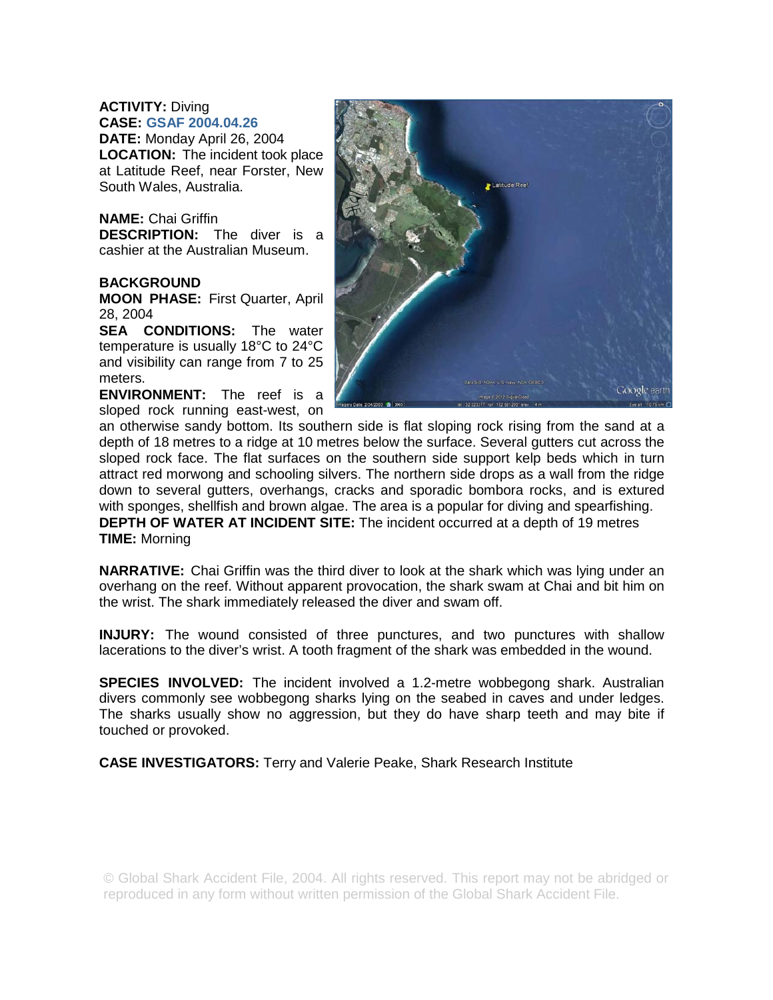## **ACTIVITY:** Diving **CASE: GSAF 2004.04.26**

**DATE:** Monday April 26, 2004 **LOCATION:** The incident took place at Latitude Reef, near Forster, New South Wales, Australia.

## **NAME:** Chai Griffin **DESCRIPTION:** The diver is a

cashier at the Australian Museum.

## **BACKGROUND**

**MOON PHASE:** First Quarter, April 28, 2004

**SEA CONDITIONS:** The water temperature is usually 18°C to 24°C and visibility can range from 7 to 25 meters.

**ENVIRONMENT:** The reef is a sloped rock running east-west, on



an otherwise sandy bottom. Its southern side is flat sloping rock rising from the sand at a depth of 18 metres to a ridge at 10 metres below the surface. Several gutters cut across the sloped rock face. The flat surfaces on the southern side support kelp beds which in turn attract red morwong and schooling silvers. The northern side drops as a wall from the ridge down to several gutters, overhangs, cracks and sporadic bombora rocks, and is extured with sponges, shellfish and brown algae. The area is a popular for diving and spearfishing. **DEPTH OF WATER AT INCIDENT SITE:** The incident occurred at a depth of 19 metres **TIME:** Morning

**NARRATIVE:** Chai Griffin was the third diver to look at the shark which was lying under an overhang on the reef. Without apparent provocation, the shark swam at Chai and bit him on the wrist. The shark immediately released the diver and swam off.

**INJURY:** The wound consisted of three punctures, and two punctures with shallow lacerations to the diver's wrist. A tooth fragment of the shark was embedded in the wound.

**SPECIES INVOLVED:** The incident involved a 1.2-metre wobbegong shark. Australian divers commonly see wobbegong sharks lying on the seabed in caves and under ledges. The sharks usually show no aggression, but they do have sharp teeth and may bite if touched or provoked.

**CASE INVESTIGATORS:** Terry and Valerie Peake, Shark Research Institute

© Global Shark Accident File, 2004. All rights reserved. This report may not be abridged or reproduced in any form without written permission of the Global Shark Accident File.